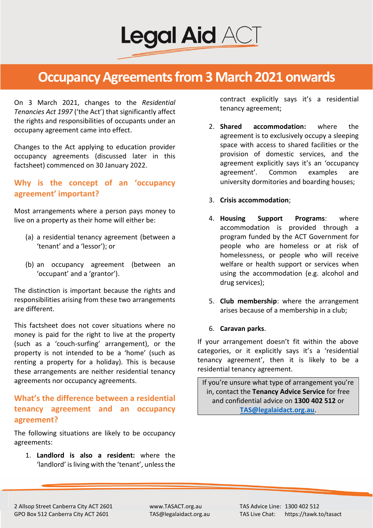

On 3 March 2021, changes to the *Residential Tenancies Act 1997* ('the Act') that significantly affect the rights and responsibilities of occupants under an occupany agreement came into effect.

Changes to the Act applying to education provider occupancy agreements (discussed later in this factsheet) commenced on 30 January 2022.

# **Why is the concept of an 'occupancy agreement' important?**

Most arrangements where a person pays money to live on a property as their home will either be:

- (a) a residential tenancy agreement (between a 'tenant' and a 'lessor'); or
- (b) an occupancy agreement (between an 'occupant' and a 'grantor').

The distinction is important because the rights and responsibilities arising from these two arrangements are different.

This factsheet does not cover situations where no money is paid for the right to live at the property (such as a 'couch-surfing' arrangement), or the property is not intended to be a 'home' (such as renting a property for a holiday). This is because these arrangements are neither residential tenancy agreements nor occupancy agreements.

# **What's the difference between a residential tenancy agreement and an occupancy agreement?**

The following situations are likely to be occupancy agreements:

1. **Landlord is also a resident:** where the 'landlord' is living with the 'tenant', unless the

contract explicitly says it's a residential tenancy agreement;

2. **Shared accommodation:** where the agreement is to exclusively occupy a sleeping space with access to shared facilities or the provision of domestic services, and the agreement explicitly says it's an 'occupancy agreement'. Common examples are university dormitories and boarding houses;

## 3. **Crisis accommodation**;

- 4. **Housing Support Programs**: where accommodation is provided through a program funded by the ACT Government for people who are homeless or at risk of homelessness, or people who will receive welfare or health support or services when using the accommodation (e.g. alcohol and drug services);
- 5. **Club membership**: where the arrangement arises because of a membership in a club;
- 6. **Caravan parks**.

If your arrangement doesn't fit within the above categories, or it explicitly says it's a 'residential tenancy agreement', then it is likely to be a residential tenancy agreement.

If you're unsure what type of arrangement you're in, contact the **Tenancy Advice Service** for free and confidential advice on **1300 402 512** or **[TAS@legalaidact.org.au](mailto:TAS@legalaidact.org.au)**.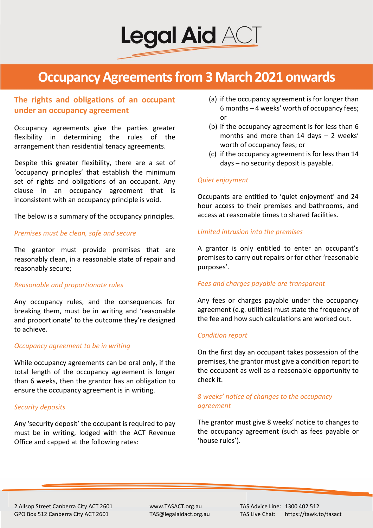

# **The rights and obligations of an occupant under an occupancy agreement**

Occupancy agreements give the parties greater flexibility in determining the rules of the arrangement than residential tenacy agreements.

Despite this greater flexibility, there are a set of 'occupancy principles' that establish the minimum set of rights and obligations of an occupant. Any clause in an occupancy agreement that is inconsistent with an occupancy principle is void.

The below is a summary of the occupancy principles.

#### *Premises must be clean, safe and secure*

The grantor must provide premises that are reasonably clean, in a reasonable state of repair and reasonably secure;

#### *Reasonable and proportionate rules*

Any occupancy rules, and the consequences for breaking them, must be in writing and 'reasonable and proportionate' to the outcome they're designed to achieve.

#### *Occupancy agreement to be in writing*

While occupancy agreements can be oral only, if the total length of the occupancy agreement is longer than 6 weeks, then the grantor has an obligation to ensure the occupancy agreement is in writing.

#### *Security deposits*

Any 'security deposit' the occupant is required to pay must be in writing, lodged with the ACT Revenue Office and capped at the following rates:

- (a) if the occupancy agreement is for longer than 6 months – 4 weeks' worth of occupancy fees; or
- (b) if the occupancy agreement is for less than 6 months and more than 14 days – 2 weeks' worth of occupancy fees; or
- (c) if the occupancy agreement is for less than 14 days – no security deposit is payable.

#### *Quiet enjoyment*

Occupants are entitled to 'quiet enjoyment' and 24 hour access to their premises and bathrooms, and access at reasonable times to shared facilities.

### *Limited intrusion into the premises*

A grantor is only entitled to enter an occupant's premises to carry out repairs or for other 'reasonable purposes'.

### *Fees and charges payable are transparent*

Any fees or charges payable under the occupancy agreement (e.g. utilities) must state the frequency of the fee and how such calculations are worked out.

#### *Condition report*

On the first day an occupant takes possession of the premises, the grantor must give a condition report to the occupant as well as a reasonable opportunity to check it.

## *8 weeks' notice of changes to the occupancy agreement*

The grantor must give 8 weeks' notice to changes to the occupancy agreement (such as fees payable or 'house rules').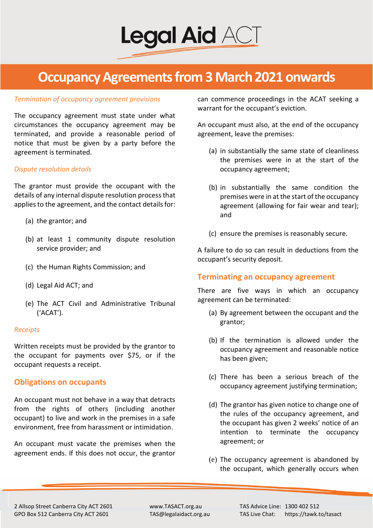

#### *Termination of occupancy agreement provisions*

The occupancy agreement must state under what circumstances the occupancy agreement may be terminated, and provide a reasonable period of notice that must be given by a party before the agreement is terminated.

#### *Dispute resolution details*

The grantor must provide the occupant with the details of any internal dispute resolution process that applies to the agreement, and the contact details for:

- (a) the grantor; and
- (b) at least 1 community dispute resolution service provider; and
- (c) the Human Rights Commission; and
- (d) Legal Aid ACT; and
- (e) The ACT Civil and Administrative Tribunal ('ACAT').

#### *Receipts*

Written receipts must be provided by the grantor to the occupant for payments over \$75, or if the occupant requests a receipt.

### **Obligations on occupants**

An occupant must not behave in a way that detracts from the rights of others (including another occupant) to live and work in the premises in a safe environment, free from harassment or intimidation.

An occupant must vacate the premises when the agreement ends. If this does not occur, the grantor

can commence proceedings in the ACAT seeking a warrant for the occupant's eviction.

An occupant must also, at the end of the occupancy agreement, leave the premises:

- (a) in substantially the same state of cleanliness the premises were in at the start of the occupancy agreement;
- (b) in substantially the same condition the premises were in at the start of the occupancy agreement (allowing for fair wear and tear); and
- (c) ensure the premises is reasonably secure.

A failure to do so can result in deductions from the occupant's security deposit.

### **Terminating an occupancy agreement**

There are five ways in which an occupancy agreement can be terminated:

- (a) By agreement between the occupant and the grantor;
- (b) If the termination is allowed under the occupancy agreement and reasonable notice has been given;
- (c) There has been a serious breach of the occupancy agreement justifying termination;
- (d) The grantor has given notice to change one of the rules of the occupancy agreement, and the occupant has given 2 weeks' notice of an intention to terminate the occupancy agreement; or
- (e) The occupancy agreement is abandoned by the occupant, which generally occurs when